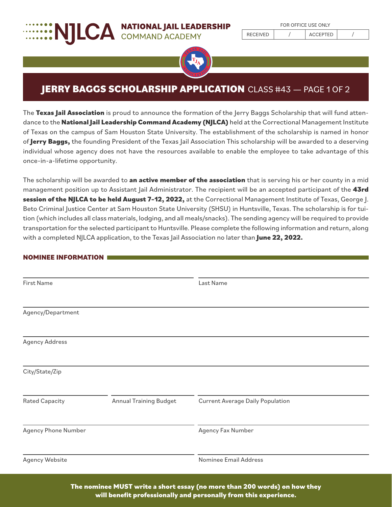# **EXAMPLISE A NATIONAL JAIL LEADERSHIP**



## **JERRY BAGGS SCHOLARSHIP APPLICATION** CLASS #43 - PAGE 1 OF 2

The **Texas Jail Association** is proud to announce the formation of the Jerry Baggs Scholarship that will fund attendance to the **National Jail Leadership Command Academy (NJLCA)** held at the Correctional Management Institute of Texas on the campus of Sam Houston State University. The establishment of the scholarship is named in honor of **Jerry Baggs,** the founding President of the Texas Jail Association This scholarship will be awarded to a deserving individual whose agency does not have the resources available to enable the employee to take advantage of this once-in-a-lifetime opportunity.

The scholarship will be awarded to **an active member of the association** that is serving his or her county in a mid management position up to Assistant Jail Administrator. The recipient will be an accepted participant of the **43rd session of the NJLCA to be held August 7–12, 2022,** at the Correctional Management Institute of Texas, George J. Beto Criminal Justice Center at Sam Houston State University (SHSU) in Huntsville, Texas. The scholarship is for tuition (which includes all class materials, lodging, and all meals/snacks). The sending agency will be required to provide transportation for the selected participant to Huntsville. Please complete the following information and return, along with a completed NJLCA application, to the Texas Jail Association no later than **June 22, 2022.**

#### **NOMINEE INFORMATION**

| First Name            |                               | Last Name                               |  |
|-----------------------|-------------------------------|-----------------------------------------|--|
|                       |                               |                                         |  |
| Agency/Department     |                               |                                         |  |
|                       |                               |                                         |  |
| <b>Agency Address</b> |                               |                                         |  |
|                       |                               |                                         |  |
| City/State/Zip        |                               |                                         |  |
|                       |                               |                                         |  |
| <b>Rated Capacity</b> | <b>Annual Training Budget</b> | <b>Current Average Daily Population</b> |  |
|                       |                               |                                         |  |
| Agency Phone Number   |                               | Agency Fax Number                       |  |
|                       |                               |                                         |  |
| <b>Agency Website</b> |                               | Nominee Email Address                   |  |

**The nominee MUST write a short essay (no more than 200 words) on how they will benefit professionally and personally from this experience.**